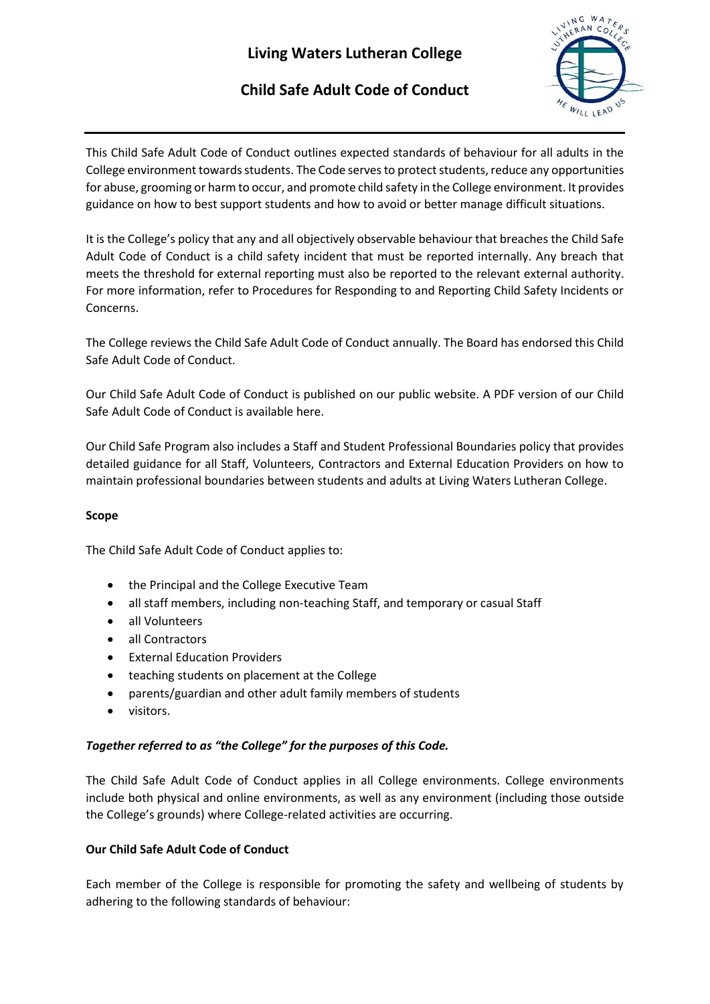# **Living Waters Lutheran College**

## **Child Safe Adult Code of Conduct**



This Child Safe Adult Code of Conduct outlines expected standards of behaviour for all adults in the College environment towards students. The Code serves to protect students, reduce any opportunities for abuse, grooming or harm to occur, and promote child safety in the College environment. It provides guidance on how to best support students and how to avoid or better manage difficult situations.

It is the College's policy that any and all objectively observable behaviour that breaches the Child Safe Adult Code of Conduct is a child safety incident that must be reported internally. Any breach that meets the threshold for external reporting must also be reported to the relevant external authority. For more information, refer to Procedures for Responding to and Reporting Child Safety Incidents or Concerns.

The College reviews the Child Safe Adult Code of Conduct annually. The Board has endorsed this Child Safe Adult Code of Conduct.

Our Child Safe Adult Code of Conduct is published on our public website. A PDF version of our Child Safe Adult Code of Conduct is available here.

Our Child Safe Program also includes a Staff and Student Professional Boundaries policy that provides detailed guidance for all Staff, Volunteers, Contractors and External Education Providers on how to maintain professional boundaries between students and adults at Living Waters Lutheran College.

### **Scope**

The Child Safe Adult Code of Conduct applies to:

- the Principal and the College Executive Team
- all staff members, including non-teaching Staff, and temporary or casual Staff
- all Volunteers
- all Contractors
- External Education Providers
- teaching students on placement at the College
- parents/guardian and other adult family members of students
- visitors.

### *Together referred to as "the College" for the purposes of this Code.*

The Child Safe Adult Code of Conduct applies in all College environments. College environments include both physical and online environments, as well as any environment (including those outside the College's grounds) where College-related activities are occurring.

### **Our Child Safe Adult Code of Conduct**

Each member of the College is responsible for promoting the safety and wellbeing of students by adhering to the following standards of behaviour: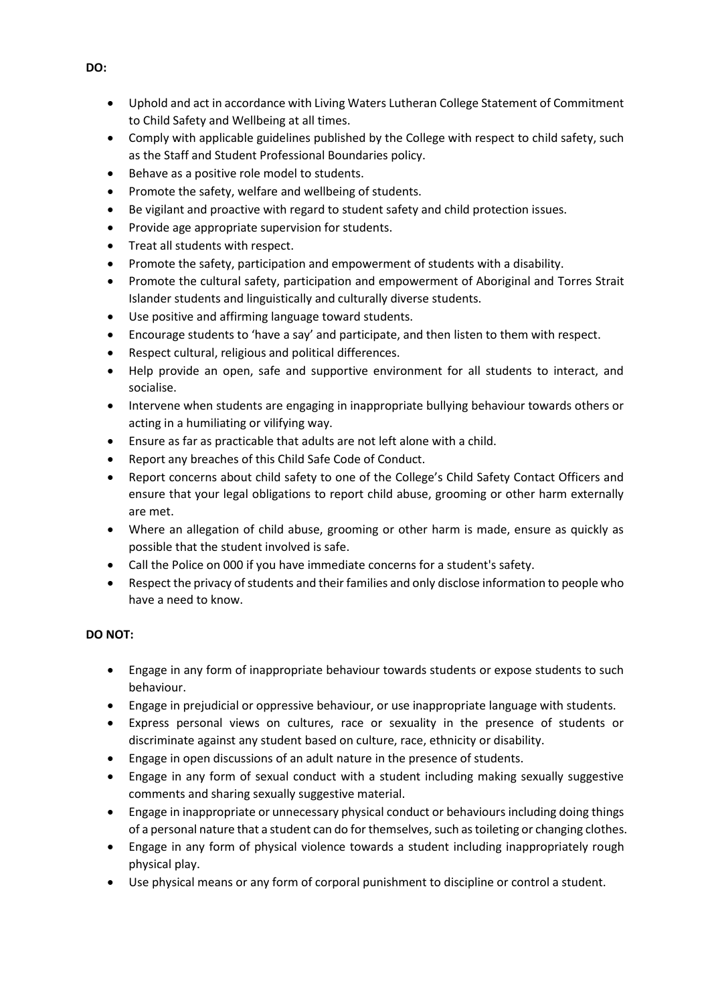- Uphold and act in accordance with Living Waters Lutheran College Statement of Commitment to Child Safety and Wellbeing at all times.
- Comply with applicable guidelines published by the College with respect to child safety, such as the Staff and Student Professional Boundaries policy.
- Behave as a positive role model to students.
- Promote the safety, welfare and wellbeing of students.
- Be vigilant and proactive with regard to student safety and child protection issues.
- Provide age appropriate supervision for students.
- Treat all students with respect.
- Promote the safety, participation and empowerment of students with a disability.
- Promote the cultural safety, participation and empowerment of Aboriginal and Torres Strait Islander students and linguistically and culturally diverse students.
- Use positive and affirming language toward students.
- Encourage students to 'have a say' and participate, and then listen to them with respect.
- Respect cultural, religious and political differences.
- Help provide an open, safe and supportive environment for all students to interact, and socialise.
- Intervene when students are engaging in inappropriate bullying behaviour towards others or acting in a humiliating or vilifying way.
- Ensure as far as practicable that adults are not left alone with a child.
- Report any breaches of this Child Safe Code of Conduct.
- Report concerns about child safety to one of the College's Child Safety Contact Officers and ensure that your legal obligations to report child abuse, grooming or other harm externally are met.
- Where an allegation of child abuse, grooming or other harm is made, ensure as quickly as possible that the student involved is safe.
- Call the Police on 000 if you have immediate concerns for a student's safety.
- Respect the privacy of students and their families and only disclose information to people who have a need to know.

### **DO NOT:**

- Engage in any form of inappropriate behaviour towards students or expose students to such behaviour.
- Engage in prejudicial or oppressive behaviour, or use inappropriate language with students.
- Express personal views on cultures, race or sexuality in the presence of students or discriminate against any student based on culture, race, ethnicity or disability.
- Engage in open discussions of an adult nature in the presence of students.
- Engage in any form of sexual conduct with a student including making sexually suggestive comments and sharing sexually suggestive material.
- Engage in inappropriate or unnecessary physical conduct or behaviours including doing things of a personal nature that a student can do for themselves, such as toileting or changing clothes.
- Engage in any form of physical violence towards a student including inappropriately rough physical play.
- Use physical means or any form of corporal punishment to discipline or control a student.

**DO:**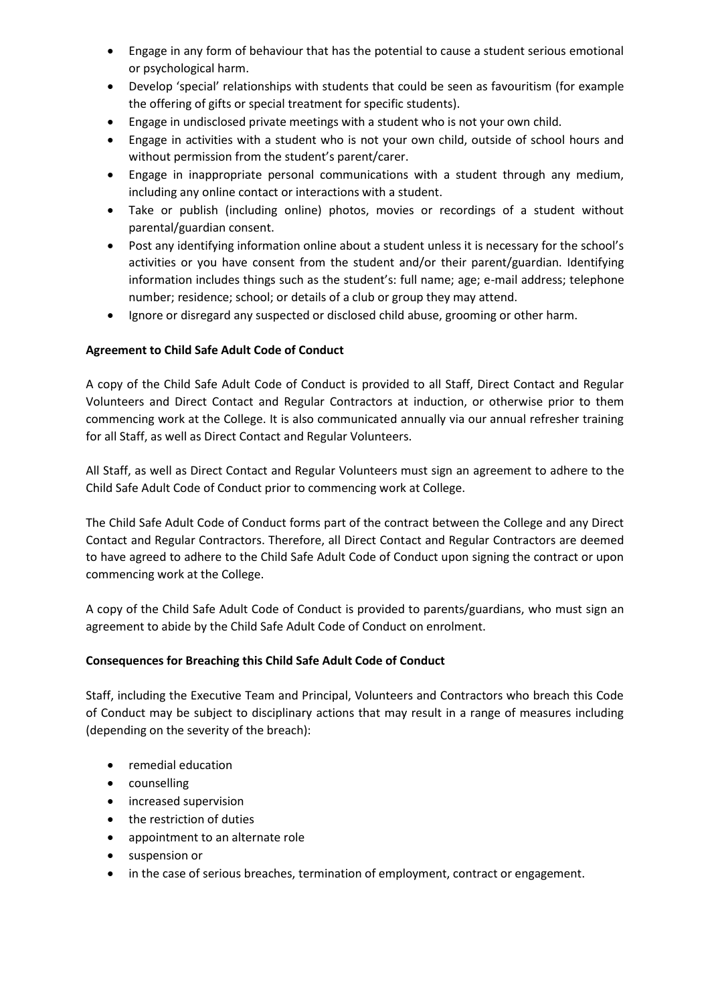- Engage in any form of behaviour that has the potential to cause a student serious emotional or psychological harm.
- Develop 'special' relationships with students that could be seen as favouritism (for example the offering of gifts or special treatment for specific students).
- Engage in undisclosed private meetings with a student who is not your own child.
- Engage in activities with a student who is not your own child, outside of school hours and without permission from the student's parent/carer.
- Engage in inappropriate personal communications with a student through any medium, including any online contact or interactions with a student.
- Take or publish (including online) photos, movies or recordings of a student without parental/guardian consent.
- Post any identifying information online about a student unless it is necessary for the school's activities or you have consent from the student and/or their parent/guardian. Identifying information includes things such as the student's: full name; age; e-mail address; telephone number; residence; school; or details of a club or group they may attend.
- Ignore or disregard any suspected or disclosed child abuse, grooming or other harm.

### **Agreement to Child Safe Adult Code of Conduct**

A copy of the Child Safe Adult Code of Conduct is provided to all Staff, Direct Contact and Regular Volunteers and Direct Contact and Regular Contractors at induction, or otherwise prior to them commencing work at the College. It is also communicated annually via our annual refresher training for all Staff, as well as Direct Contact and Regular Volunteers.

All Staff, as well as Direct Contact and Regular Volunteers must sign an agreement to adhere to the Child Safe Adult Code of Conduct prior to commencing work at College.

The Child Safe Adult Code of Conduct forms part of the contract between the College and any Direct Contact and Regular Contractors. Therefore, all Direct Contact and Regular Contractors are deemed to have agreed to adhere to the Child Safe Adult Code of Conduct upon signing the contract or upon commencing work at the College.

A copy of the Child Safe Adult Code of Conduct is provided to parents/guardians, who must sign an agreement to abide by the Child Safe Adult Code of Conduct on enrolment.

### **Consequences for Breaching this Child Safe Adult Code of Conduct**

Staff, including the Executive Team and Principal, Volunteers and Contractors who breach this Code of Conduct may be subject to disciplinary actions that may result in a range of measures including (depending on the severity of the breach):

- remedial education
- counselling
- increased supervision
- the restriction of duties
- appointment to an alternate role
- suspension or
- in the case of serious breaches, termination of employment, contract or engagement.